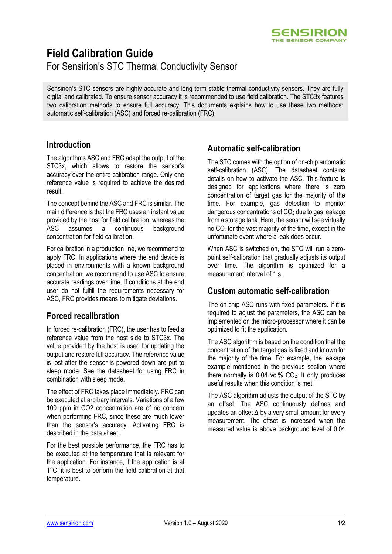

# **Field Calibration Guide**

For Sensirion's STC Thermal Conductivity Sensor

Sensirion's STC sensors are highly accurate and long-term stable thermal conductivity sensors. They are fully digital and calibrated. To ensure sensor accuracy it is recommended to use field calibration. The STC3x features two calibration methods to ensure full accuracy. This documents explains how to use these two methods: automatic self-calibration (ASC) and forced re-calibration (FRC).

### **Introduction**

The algorithms ASC and FRC adapt the output of the STC3x, which allows to restore the sensor's accuracy over the entire calibration range. Only one reference value is required to achieve the desired result.

The concept behind the ASC and FRC is similar. The main difference is that the FRC uses an instant value provided by the host for field calibration, whereas the ASC assumes a continuous background concentration for field calibration.

For calibration in a production line, we recommend to apply FRC. In applications where the end device is placed in environments with a known background concentration, we recommend to use ASC to ensure accurate readings over time. If conditions at the end user do not fulfill the requirements necessary for ASC, FRC provides means to mitigate deviations.

### **Forced recalibration**

In forced re-calibration (FRC), the user has to feed a reference value from the host side to STC3x. The value provided by the host is used for updating the output and restore full accuracy. The reference value is lost after the sensor is powered down are put to sleep mode. See the datasheet for using FRC in combination with sleep mode.

The effect of FRC takes place immediately. FRC can be executed at arbitrary intervals. Variations of a few 100 ppm in CO2 concentration are of no concern when performing FRC, since these are much lower than the sensor's accuracy. Activating FRC is described in the data sheet.

For the best possible performance, the FRC has to be executed at the temperature that is relevant for the application. For instance, if the application is at 1°C, it is best to perform the field calibration at that temperature.

### **Automatic self-calibration**

The STC comes with the option of on-chip automatic self-calibration (ASC). The datasheet contains details on how to activate the ASC. This feature is designed for applications where there is zero concentration of target gas for the majority of the time. For example, gas detection to monitor dangerous concentrations of  $CO<sub>2</sub>$  due to gas leakage from a storage tank. Here, the sensor will see virtually no  $CO<sub>2</sub>$  for the vast majority of the time, except in the unfortunate event where a leak does occur.

When ASC is switched on, the STC will run a zeropoint self-calibration that gradually adjusts its output over time. The algorithm is optimized for a measurement interval of 1 s.

### **Custom automatic self-calibration**

The on-chip ASC runs with fixed parameters. If it is required to adjust the parameters, the ASC can be implemented on the micro-processor where it can be optimized to fit the application.

The ASC algorithm is based on the condition that the concentration of the target gas is fixed and known for the majority of the time. For example, the leakage example mentioned in the previous section where there normally is  $0.04$  vol%  $CO<sub>2</sub>$ . It only produces useful results when this condition is met.

The ASC algorithm adjusts the output of the STC by an offset. The ASC continuously defines and updates an offset ∆ by a very small amount for every measurement. The offset is increased when the measured value is above background level of 0.04